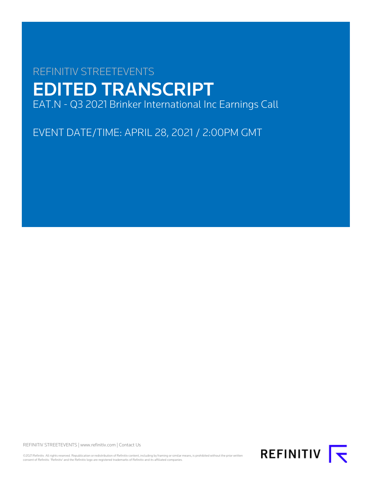# REFINITIV STREETEVENTS EDITED TRANSCRIPT EAT.N - Q3 2021 Brinker International Inc Earnings Call

EVENT DATE/TIME: APRIL 28, 2021 / 2:00PM GMT

REFINITIV STREETEVENTS | [www.refinitiv.com](https://www.refinitiv.com/) | [Contact Us](https://www.refinitiv.com/en/contact-us)

©2021 Refinitiv. All rights reserved. Republication or redistribution of Refinitiv content, including by framing or similar means, is prohibited without the prior written consent of Refinitiv. 'Refinitiv' and the Refinitiv logo are registered trademarks of Refinitiv and its affiliated companies.

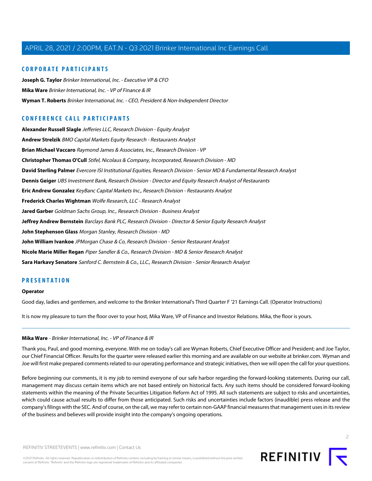#### **CORPORATE PARTICIPANTS**

**[Joseph G. Taylor](#page-3-0)** Brinker International, Inc. - Executive VP & CFO **[Mika Ware](#page-1-0)** Brinker International, Inc. - VP of Finance & IR **[Wyman T. Roberts](#page-2-0)** Brinker International, Inc. - CEO, President & Non-Independent Director

## **CONFERENCE CALL PARTICIPANTS**

**[Alexander Russell Slagle](#page-7-0)** Jefferies LLC, Research Division - Equity Analyst **[Andrew Strelzik](#page-20-0)** BMO Capital Markets Equity Research - Restaurants Analyst **[Brian Michael Vaccaro](#page-14-0)** Raymond James & Associates, Inc., Research Division - VP **[Christopher Thomas O'Cull](#page-13-0)** Stifel, Nicolaus & Company, Incorporated, Research Division - MD **[David Sterling Palmer](#page-19-0)** Evercore ISI Institutional Equities, Research Division - Senior MD & Fundamental Research Analyst **[Dennis Geiger](#page-9-0)** UBS Investment Bank, Research Division - Director and Equity Research Analyst of Restaurants **[Eric Andrew Gonzalez](#page-8-0)** KeyBanc Capital Markets Inc., Research Division - Restaurants Analyst **[Frederick Charles Wightman](#page-12-0)** Wolfe Research, LLC - Research Analyst **[Jared Garber](#page-10-0)** Goldman Sachs Group, Inc., Research Division - Business Analyst **[Jeffrey Andrew Bernstein](#page-17-0)** Barclays Bank PLC, Research Division - Director & Senior Equity Research Analyst **[John Stephenson Glass](#page-5-0)** Morgan Stanley, Research Division - MD **[John William Ivankoe](#page-16-0)** JPMorgan Chase & Co, Research Division - Senior Restaurant Analyst **[Nicole Marie Miller Regan](#page-6-0)** Piper Sandler & Co., Research Division - MD & Senior Research Analyst **[Sara Harkavy Senatore](#page-11-0)** Sanford C. Bernstein & Co., LLC., Research Division - Senior Research Analyst

#### **PRESENTATION**

#### **Operator**

<span id="page-1-0"></span>Good day, ladies and gentlemen, and welcome to the Brinker International's Third Quarter F '21 Earnings Call. (Operator Instructions)

It is now my pleasure to turn the floor over to your host, Mika Ware, VP of Finance and Investor Relations. Mika, the floor is yours.

#### **Mika Ware** - Brinker International, Inc. - VP of Finance & IR

Thank you, Paul, and good morning, everyone. With me on today's call are Wyman Roberts, Chief Executive Officer and President; and Joe Taylor, our Chief Financial Officer. Results for the quarter were released earlier this morning and are available on our website at brinker.com. Wyman and Joe will first make prepared comments related to our operating performance and strategic initiatives, then we will open the call for your questions.

Before beginning our comments, it is my job to remind everyone of our safe harbor regarding the forward-looking statements. During our call, management may discuss certain items which are not based entirely on historical facts. Any such items should be considered forward-looking statements within the meaning of the Private Securities Litigation Reform Act of 1995. All such statements are subject to risks and uncertainties, which could cause actual results to differ from those anticipated. Such risks and uncertainties include factors (inaudible) press release and the company's filings with the SEC. And of course, on the call, we may refer to certain non-GAAP financial measures that management uses in its review of the business and believes will provide insight into the company's ongoing operations.



 $\overline{2}$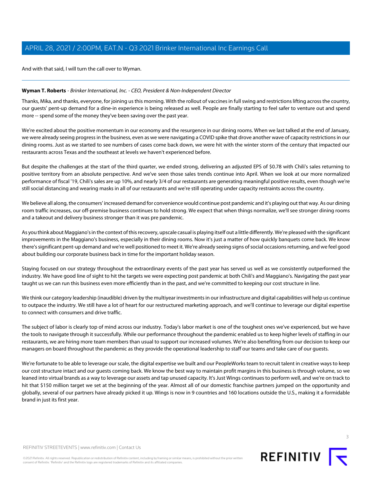And with that said, I will turn the call over to Wyman.

#### <span id="page-2-0"></span>**Wyman T. Roberts** - Brinker International, Inc. - CEO, President & Non-Independent Director

Thanks, Mika, and thanks, everyone, for joining us this morning. With the rollout of vaccines in full swing and restrictions lifting across the country, our guests' pent-up demand for a dine-in experience is being released as well. People are finally starting to feel safer to venture out and spend more -- spend some of the money they've been saving over the past year.

We're excited about the positive momentum in our economy and the resurgence in our dining rooms. When we last talked at the end of January, we were already seeing progress in the business, even as we were navigating a COVID spike that drove another wave of capacity restrictions in our dining rooms. Just as we started to see numbers of cases come back down, we were hit with the winter storm of the century that impacted our restaurants across Texas and the southeast at levels we haven't experienced before.

But despite the challenges at the start of the third quarter, we ended strong, delivering an adjusted EPS of \$0.78 with Chili's sales returning to positive territory from an absolute perspective. And we've seen those sales trends continue into April. When we look at our more normalized performance of fiscal '19, Chili's sales are up 10%, and nearly 3/4 of our restaurants are generating meaningful positive results, even though we're still social distancing and wearing masks in all of our restaurants and we're still operating under capacity restraints across the country.

We believe all along, the consumers' increased demand for convenience would continue post pandemic and it's playing out that way. As our dining room traffic increases, our off-premise business continues to hold strong. We expect that when things normalize, we'll see stronger dining rooms and a takeout and delivery business stronger than it was pre pandemic.

As you think about Maggiano's in the context of this recovery, upscale casual is playing itself out a little differently. We're pleased with the significant improvements in the Maggiano's business, especially in their dining rooms. Now it's just a matter of how quickly banquets come back. We know there's significant pent-up demand and we're well positioned to meet it. We're already seeing signs of social occasions returning, and we feel good about building our corporate business back in time for the important holiday season.

Staying focused on our strategy throughout the extraordinary events of the past year has served us well as we consistently outperformed the industry. We have good line of sight to hit the targets we were expecting post pandemic at both Chili's and Maggiano's. Navigating the past year taught us we can run this business even more efficiently than in the past, and we're committed to keeping our cost structure in line.

We think our category leadership (inaudible) driven by the multiyear investments in our infrastructure and digital capabilities will help us continue to outpace the industry. We still have a lot of heart for our restructured marketing approach, and we'll continue to leverage our digital expertise to connect with consumers and drive traffic.

The subject of labor is clearly top of mind across our industry. Today's labor market is one of the toughest ones we've experienced, but we have the tools to navigate through it successfully. While our performance throughout the pandemic enabled us to keep higher levels of staffing in our restaurants, we are hiring more team members than usual to support our increased volumes. We're also benefiting from our decision to keep our managers on board throughout the pandemic as they provide the operational leadership to staff our teams and take care of our guests.

We're fortunate to be able to leverage our scale, the digital expertise we built and our PeopleWorks team to recruit talent in creative ways to keep our cost structure intact and our guests coming back. We know the best way to maintain profit margins in this business is through volume, so we leaned into virtual brands as a way to leverage our assets and tap unused capacity. It's Just Wings continues to perform well, and we're on track to hit that \$150 million target we set at the beginning of the year. Almost all of our domestic franchise partners jumped on the opportunity and globally, several of our partners have already picked it up. Wings is now in 9 countries and 160 locations outside the U.S., making it a formidable brand in just its first year.

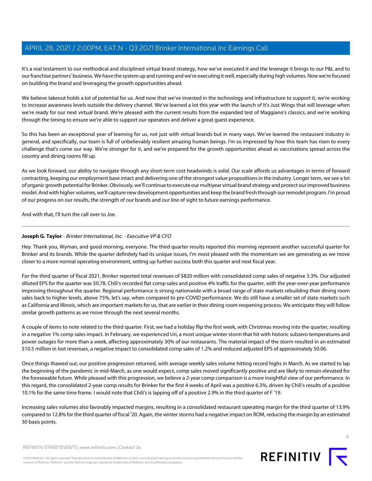It's a real testament to our methodical and disciplined virtual brand strategy, how we've executed it and the leverage it brings to our P&L and to our franchise partners' business. We have the system up and running and we're executing it well, especially during high volumes. Now we're focused on building the brand and leveraging the growth opportunities ahead.

We believe takeout holds a lot of potential for us. And now that we've invested in the technology and infrastructure to support it, we're working to increase awareness levels outside the delivery channel. We've learned a lot this year with the launch of It's Just Wings that will leverage when we're ready for our next virtual brand. We're pleased with the current results from the expanded test of Maggiano's classics, and we're working through the timing to ensure we're able to support our operators and deliver a great guest experience.

So this has been an exceptional year of learning for us, not just with virtual brands but in many ways. We've learned the restaurant industry in general, and specifically, our team is full of unbelievably resilient amazing human beings. I'm so impressed by how this team has risen to every challenge that's come our way. We're stronger for it, and we're prepared for the growth opportunities ahead as vaccinations spread across the country and dining rooms fill up.

As we look forward, our ability to navigate through any short-term cost headwinds is solid. Our scale affords us advantages in terms of forward contracting, keeping our employment base intact and delivering one of the strongest value propositions in the industry. Longer term, we see a lot of organic growth potential for Brinker. Obviously, we'll continue to execute our multiyear virtual brand strategy and protect our improved business model. And with higher volumes, we'll capture new development opportunities and keep the brand fresh through our remodel program. I'm proud of our progress on our results, the strength of our brands and our line of sight to future earnings performance.

<span id="page-3-0"></span>And with that, I'll turn the call over to Joe.

#### **Joseph G. Taylor** - Brinker International, Inc. - Executive VP & CFO

Hey. Thank you, Wyman, and good morning, everyone. The third quarter results reported this morning represent another successful quarter for Brinker and its brands. While the quarter definitely had its unique issues, I'm most pleased with the momentum we are generating as we move closer to a more normal operating environment, setting up further success both this quarter and next fiscal year.

For the third quarter of fiscal 2021, Brinker reported total revenues of \$820 million with consolidated comp sales of negative 3.3%. Our adjusted diluted EPS for the quarter was \$0.78. Chili's recorded flat comp sales and positive 4% traffic for the quarter, with the year-over-year performance improving throughout the quarter. Regional performance is strong nationwide with a broad range of state markets rebuilding their dining room sales back to higher levels, above 75%, let's say, when compared to pre-COVID performance. We do still have a smaller set of state markets such as California and Illinois, which are important markets for us, that are earlier in their dining room reopening process. We anticipate they will follow similar growth patterns as we move through the next several months.

A couple of items to note related to the third quarter. First, we had a holiday flip the first week, with Christmas moving into the quarter, resulting in a negative 1% comp sales impact. In February, we experienced Uri, a most unique winter storm that hit with historic subzero temperatures and power outages for more than a week, affecting approximately 30% of our restaurants. The material impact of the storm resulted in an estimated \$10.5 million in lost revenues, a negative impact to consolidated comp sales of 1.2% and reduced adjusted EPS of approximately \$0.06.

Once things thawed out, our positive progression returned, with average weekly sales volume hitting record highs in March. As we started to lap the beginning of the pandemic in mid-March, as one would expect, comp sales moved significantly positive and are likely to remain elevated for the foreseeable future. While pleased with this progression, we believe a 2-year comp comparison is a more insightful view of our performance. In this regard, the consolidated 2-year comp results for Brinker for the first 4 weeks of April was a positive 6.3%, driven by Chili's results of a positive 10.1% for the same time frame. I would note that Chili's is lapping off of a positive 2.9% in the third quarter of F '19.

Increasing sales volumes also favorably impacted margins, resulting in a consolidated restaurant operating margin for the third quarter of 13.9% compared to 12.8% for the third quarter of fiscal '20. Again, the winter storms had a negative impact on ROM, reducing the margin by an estimated 30 basis points.

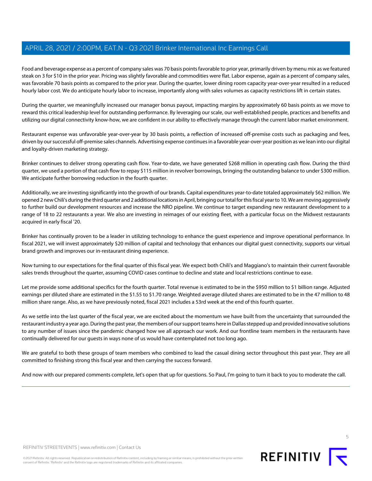Food and beverage expense as a percent of company sales was 70 basis points favorable to prior year, primarily driven by menu mix as we featured steak on 3 for \$10 in the prior year. Pricing was slightly favorable and commodities were flat. Labor expense, again as a percent of company sales, was favorable 70 basis points as compared to the prior year. During the quarter, lower dining room capacity year-over-year resulted in a reduced hourly labor cost. We do anticipate hourly labor to increase, importantly along with sales volumes as capacity restrictions lift in certain states.

During the quarter, we meaningfully increased our manager bonus payout, impacting margins by approximately 60 basis points as we move to reward this critical leadership level for outstanding performance. By leveraging our scale, our well-established people, practices and benefits and utilizing our digital connectivity know-how, we are confident in our ability to effectively manage through the current labor market environment.

Restaurant expense was unfavorable year-over-year by 30 basis points, a reflection of increased off-premise costs such as packaging and fees, driven by our successful off-premise sales channels. Advertising expense continues in a favorable year-over-year position as we lean into our digital and loyalty-driven marketing strategy.

Brinker continues to deliver strong operating cash flow. Year-to-date, we have generated \$268 million in operating cash flow. During the third quarter, we used a portion of that cash flow to repay \$115 million in revolver borrowings, bringing the outstanding balance to under \$300 million. We anticipate further borrowing reduction in the fourth quarter.

Additionally, we are investing significantly into the growth of our brands. Capital expenditures year-to-date totaled approximately \$62 million. We opened 2 new Chili's during the third quarter and 2 additional locations in April, bringing our total for this fiscal year to 10. We are moving aggressively to further build our development resources and increase the NRO pipeline. We continue to target expanding new restaurant development to a range of 18 to 22 restaurants a year. We also are investing in reimages of our existing fleet, with a particular focus on the Midwest restaurants acquired in early fiscal '20.

Brinker has continually proven to be a leader in utilizing technology to enhance the guest experience and improve operational performance. In fiscal 2021, we will invest approximately \$20 million of capital and technology that enhances our digital guest connectivity, supports our virtual brand growth and improves our in-restaurant dining experience.

Now turning to our expectations for the final quarter of this fiscal year. We expect both Chili's and Maggiano's to maintain their current favorable sales trends throughout the quarter, assuming COVID cases continue to decline and state and local restrictions continue to ease.

Let me provide some additional specifics for the fourth quarter. Total revenue is estimated to be in the \$950 million to \$1 billion range. Adjusted earnings per diluted share are estimated in the \$1.55 to \$1.70 range. Weighted average diluted shares are estimated to be in the 47 million to 48 million share range. Also, as we have previously noted, fiscal 2021 includes a 53rd week at the end of this fourth quarter.

As we settle into the last quarter of the fiscal year, we are excited about the momentum we have built from the uncertainty that surrounded the restaurant industry a year ago. During the past year, the members of our support teams here in Dallas stepped up and provided innovative solutions to any number of issues since the pandemic changed how we all approach our work. And our frontline team members in the restaurants have continually delivered for our guests in ways none of us would have contemplated not too long ago.

We are grateful to both these groups of team members who combined to lead the casual dining sector throughout this past year. They are all committed to finishing strong this fiscal year and then carrying the success forward.

And now with our prepared comments complete, let's open that up for questions. So Paul, I'm going to turn it back to you to moderate the call.

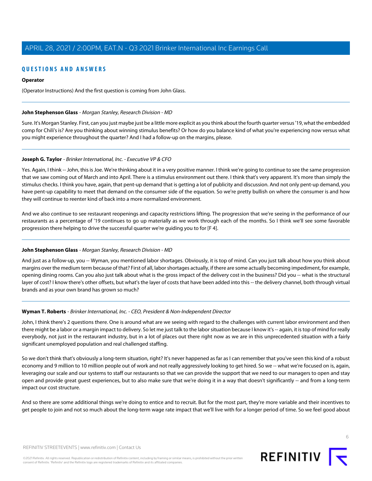## **QUESTIONS AND ANSWERS**

#### **Operator**

(Operator Instructions) And the first question is coming from John Glass.

#### <span id="page-5-0"></span>**John Stephenson Glass** - Morgan Stanley, Research Division - MD

Sure. It's Morgan Stanley. First, can you just maybe just be a little more explicit as you think about the fourth quarter versus '19, what the embedded comp for Chili's is? Are you thinking about winning stimulus benefits? Or how do you balance kind of what you're experiencing now versus what you might experience throughout the quarter? And I had a follow-up on the margins, please.

#### **Joseph G. Taylor** - Brinker International, Inc. - Executive VP & CFO

Yes. Again, I think -- John, this is Joe. We're thinking about it in a very positive manner. I think we're going to continue to see the same progression that we saw coming out of March and into April. There is a stimulus environment out there. I think that's very apparent. It's more than simply the stimulus checks. I think you have, again, that pent-up demand that is getting a lot of publicity and discussion. And not only pent-up demand, you have pent-up capability to meet that demand on the consumer side of the equation. So we're pretty bullish on where the consumer is and how they will continue to reenter kind of back into a more normalized environment.

And we also continue to see restaurant reopenings and capacity restrictions lifting. The progression that we're seeing in the performance of our restaurants as a percentage of '19 continues to go up materially as we work through each of the months. So I think we'll see some favorable progression there helping to drive the successful quarter we're guiding you to for [F 4].

#### **John Stephenson Glass** - Morgan Stanley, Research Division - MD

And just as a follow-up, you -- Wyman, you mentioned labor shortages. Obviously, it is top of mind. Can you just talk about how you think about margins over the medium term because of that? First of all, labor shortages actually, if there are some actually becoming impediment, for example, opening dining rooms. Can you also just talk about what is the gross impact of the delivery cost in the business? Did you -- what is the structural layer of cost? I know there's other offsets, but what's the layer of costs that have been added into this -- the delivery channel, both through virtual brands and as your own brand has grown so much?

#### **Wyman T. Roberts** - Brinker International, Inc. - CEO, President & Non-Independent Director

John, I think there's 2 questions there. One is around what are we seeing with regard to the challenges with current labor environment and then there might be a labor or a margin impact to delivery. So let me just talk to the labor situation because I know it's -- again, it is top of mind for really everybody, not just in the restaurant industry, but in a lot of places out there right now as we are in this unprecedented situation with a fairly significant unemployed population and real challenged staffing.

So we don't think that's obviously a long-term situation, right? It's never happened as far as I can remember that you've seen this kind of a robust economy and 9 million to 10 million people out of work and not really aggressively looking to get hired. So we -- what we're focused on is, again, leveraging our scale and our systems to staff our restaurants so that we can provide the support that we need to our managers to open and stay open and provide great guest experiences, but to also make sure that we're doing it in a way that doesn't significantly -- and from a long-term impact our cost structure.

And so there are some additional things we're doing to entice and to recruit. But for the most part, they're more variable and their incentives to get people to join and not so much about the long-term wage rate impact that we'll live with for a longer period of time. So we feel good about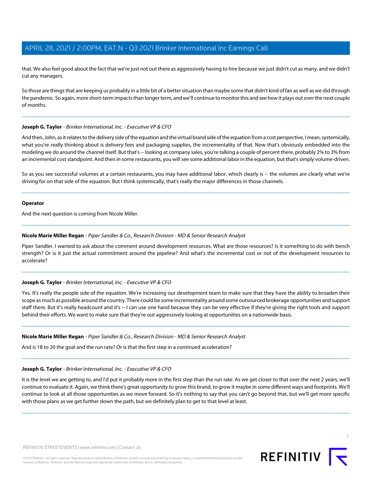that. We also feel good about the fact that we're just not out there as aggressively having to hire because we just didn't cut as many, and we didn't cut any managers.

So those are things that are keeping us probably in a little bit of a better situation than maybe some that didn't kind of fair as well as we did through the pandemic. So again, more short-term impacts than longer term, and we'll continue to monitor this and see how it plays out over the next couple of months.

#### **Joseph G. Taylor** - Brinker International, Inc. - Executive VP & CFO

And then, John, as it relates to the delivery side of the equation and the virtual brand side of the equation from a cost perspective, I mean, systemically, what you're really thinking about is delivery fees and packaging supplies, the incrementality of that. Now that's obviously embedded into the modeling we do around the channel itself. But that's -- looking at company sales, you're talking a couple of percent there, probably 2% to 3% from an incremental cost standpoint. And then in some restaurants, you will see some additional labor in the equation, but that's simply volume-driven.

So as you see successful volumes at a certain restaurants, you may have additional labor, which clearly is -- the volumes are clearly what we're driving for on that side of the equation. But I think systemically, that's really the major differences in those channels.

#### **Operator**

<span id="page-6-0"></span>And the next question is coming from Nicole Miller.

#### **Nicole Marie Miller Regan** - Piper Sandler & Co., Research Division - MD & Senior Research Analyst

Piper Sandler. I wanted to ask about the comment around development resources. What are those resources? Is it something to do with bench strength? Or is it just the actual commitment around the pipeline? And what's the incremental cost or not of the development resources to accelerate?

#### **Joseph G. Taylor** - Brinker International, Inc. - Executive VP & CFO

Yes. It's really the people side of the equation. We're increasing our development team to make sure that they have the ability to broaden their scope as much as possible around the country. There could be some incrementality around some outsourced brokerage opportunities and support staff there. But it's really headcount and it's -- I can use one hand because they can be very effective if they're giving the right tools and support behind their efforts. We want to make sure that they're out aggressively looking at opportunities on a nationwide basis.

#### **Nicole Marie Miller Regan** - Piper Sandler & Co., Research Division - MD & Senior Research Analyst

And is 18 to 20 the goal and the run rate? Or is that the first step in a continued acceleration?

#### **Joseph G. Taylor** - Brinker International, Inc. - Executive VP & CFO

It is the level we are getting to, and I'd put it probably more in the first step than the run rate. As we get closer to that over the next 2 years, we'll continue to evaluate it. Again, we think there's great opportunity to grow this brand, to grow it maybe in some different ways and footprints. We'll continue to look at all those opportunities as we move forward. So it's nothing to say that you can't go beyond that, but we'll get more specific with those plans as we get further down the path, but we definitely plan to get to that level at least.

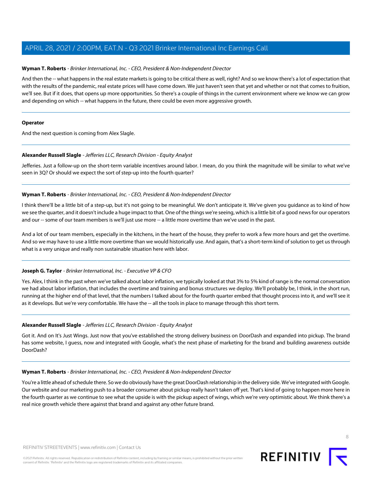#### **Wyman T. Roberts** - Brinker International, Inc. - CEO, President & Non-Independent Director

And then the -- what happens in the real estate markets is going to be critical there as well, right? And so we know there's a lot of expectation that with the results of the pandemic, real estate prices will have come down. We just haven't seen that yet and whether or not that comes to fruition, we'll see. But if it does, that opens up more opportunities. So there's a couple of things in the current environment where we know we can grow and depending on which -- what happens in the future, there could be even more aggressive growth.

#### **Operator**

<span id="page-7-0"></span>And the next question is coming from Alex Slagle.

#### **Alexander Russell Slagle** - Jefferies LLC, Research Division - Equity Analyst

Jefferies. Just a follow-up on the short-term variable incentives around labor. I mean, do you think the magnitude will be similar to what we've seen in 3Q? Or should we expect the sort of step-up into the fourth quarter?

#### **Wyman T. Roberts** - Brinker International, Inc. - CEO, President & Non-Independent Director

I think there'll be a little bit of a step-up, but it's not going to be meaningful. We don't anticipate it. We've given you guidance as to kind of how we see the quarter, and it doesn't include a huge impact to that. One of the things we're seeing, which is a little bit of a good news for our operators and our -- some of our team members is we'll just use more -- a little more overtime than we've used in the past.

And a lot of our team members, especially in the kitchens, in the heart of the house, they prefer to work a few more hours and get the overtime. And so we may have to use a little more overtime than we would historically use. And again, that's a short-term kind of solution to get us through what is a very unique and really non sustainable situation here with labor.

#### **Joseph G. Taylor** - Brinker International, Inc. - Executive VP & CFO

Yes. Alex, I think in the past when we've talked about labor inflation, we typically looked at that 3% to 5% kind of range is the normal conversation we had about labor inflation, that includes the overtime and training and bonus structures we deploy. We'll probably be, I think, in the short run, running at the higher end of that level, that the numbers I talked about for the fourth quarter embed that thought process into it, and we'll see it as it develops. But we're very comfortable. We have the -- all the tools in place to manage through this short term.

#### **Alexander Russell Slagle** - Jefferies LLC, Research Division - Equity Analyst

Got it. And on It's Just Wings. Just now that you've established the strong delivery business on DoorDash and expanded into pickup. The brand has some website, I guess, now and integrated with Google, what's the next phase of marketing for the brand and building awareness outside DoorDash?

#### **Wyman T. Roberts** - Brinker International, Inc. - CEO, President & Non-Independent Director

You're a little ahead of schedule there. So we do obviously have the great DoorDash relationship in the delivery side. We've integrated with Google. Our website and our marketing push to a broader consumer about pickup really hasn't taken off yet. That's kind of going to happen more here in the fourth quarter as we continue to see what the upside is with the pickup aspect of wings, which we're very optimistic about. We think there's a real nice growth vehicle there against that brand and against any other future brand.

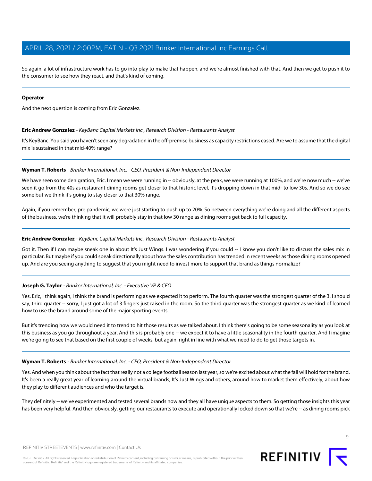So again, a lot of infrastructure work has to go into play to make that happen, and we're almost finished with that. And then we get to push it to the consumer to see how they react, and that's kind of coming.

#### **Operator**

<span id="page-8-0"></span>And the next question is coming from Eric Gonzalez.

#### **Eric Andrew Gonzalez** - KeyBanc Capital Markets Inc., Research Division - Restaurants Analyst

It's KeyBanc. You said you haven't seen any degradation in the off-premise business as capacity restrictions eased. Are we to assume that the digital mix is sustained in that mid-40% range?

#### **Wyman T. Roberts** - Brinker International, Inc. - CEO, President & Non-Independent Director

We have seen some denigration, Eric. I mean we were running in -- obviously, at the peak, we were running at 100%, and we're now much -- we've seen it go from the 40s as restaurant dining rooms get closer to that historic level, it's dropping down in that mid- to low 30s. And so we do see some but we think it's going to stay closer to that 30% range.

Again, if you remember, pre pandemic, we were just starting to push up to 20%. So between everything we're doing and all the different aspects of the business, we're thinking that it will probably stay in that low 30 range as dining rooms get back to full capacity.

#### **Eric Andrew Gonzalez** - KeyBanc Capital Markets Inc., Research Division - Restaurants Analyst

Got it. Then if I can maybe sneak one in about It's Just Wings. I was wondering if you could -- I know you don't like to discuss the sales mix in particular. But maybe if you could speak directionally about how the sales contribution has trended in recent weeks as those dining rooms opened up. And are you seeing anything to suggest that you might need to invest more to support that brand as things normalize?

#### **Joseph G. Taylor** - Brinker International, Inc. - Executive VP & CFO

Yes. Eric, I think again, I think the brand is performing as we expected it to perform. The fourth quarter was the strongest quarter of the 3. I should say, third quarter -- sorry, I just got a lot of 3 fingers just raised in the room. So the third quarter was the strongest quarter as we kind of learned how to use the brand around some of the major sporting events.

But it's trending how we would need it to trend to hit those results as we talked about. I think there's going to be some seasonality as you look at this business as you go throughout a year. And this is probably one -- we expect it to have a little seasonality in the fourth quarter. And I imagine we're going to see that based on the first couple of weeks, but again, right in line with what we need to do to get those targets in.

#### **Wyman T. Roberts** - Brinker International, Inc. - CEO, President & Non-Independent Director

Yes. And when you think about the fact that really not a college football season last year, so we're excited about what the fall will hold for the brand. It's been a really great year of learning around the virtual brands, It's Just Wings and others, around how to market them effectively, about how they play to different audiences and who the target is.

They definitely -- we've experimented and tested several brands now and they all have unique aspects to them. So getting those insights this year has been very helpful. And then obviously, getting our restaurants to execute and operationally locked down so that we're -- as dining rooms pick



 $\circ$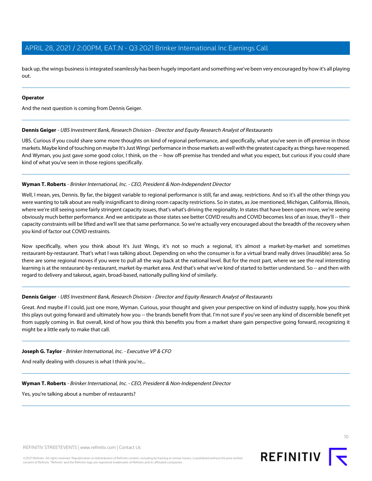back up, the wings business is integrated seamlessly has been hugely important and something we've been very encouraged by how it's all playing out.

#### **Operator**

<span id="page-9-0"></span>And the next question is coming from Dennis Geiger.

#### **Dennis Geiger** - UBS Investment Bank, Research Division - Director and Equity Research Analyst of Restaurants

UBS. Curious if you could share some more thoughts on kind of regional performance, and specifically, what you've seen in off-premise in those markets. Maybe kind of touching on maybe It's Just Wings' performance in those markets as well with the greatest capacity as things have reopened. And Wyman, you just gave some good color, I think, on the -- how off-premise has trended and what you expect, but curious if you could share kind of what you've seen in those regions specifically.

#### **Wyman T. Roberts** - Brinker International, Inc. - CEO, President & Non-Independent Director

Well, I mean, yes, Dennis. By far, the biggest variable to regional performance is still, far and away, restrictions. And so it's all the other things you were wanting to talk about are really insignificant to dining room capacity restrictions. So in states, as Joe mentioned, Michigan, California, Illinois, where we're still seeing some fairly stringent capacity issues, that's what's driving the regionality. In states that have been open more, we're seeing obviously much better performance. And we anticipate as those states see better COVID results and COVID becomes less of an issue, they'll -- their capacity constraints will be lifted and we'll see that same performance. So we're actually very encouraged about the breadth of the recovery when you kind of factor out COVID restraints.

Now specifically, when you think about It's Just Wings, it's not so much a regional, it's almost a market-by-market and sometimes restaurant-by-restaurant. That's what I was talking about. Depending on who the consumer is for a virtual brand really drives (inaudible) area. So there are some regional moves if you were to pull all the way back at the national level. But for the most part, where we see the real interesting learning is at the restaurant-by-restaurant, market-by-market area. And that's what we've kind of started to better understand. So -- and then with regard to delivery and takeout, again, broad-based, nationally pulling kind of similarly.

#### **Dennis Geiger** - UBS Investment Bank, Research Division - Director and Equity Research Analyst of Restaurants

Great. And maybe if I could, just one more, Wyman. Curious, your thought and given your perspective on kind of industry supply, how you think this plays out going forward and ultimately how you -- the brands benefit from that. I'm not sure if you've seen any kind of discernible benefit yet from supply coming in. But overall, kind of how you think this benefits you from a market share gain perspective going forward, recognizing it might be a little early to make that call.

#### **Joseph G. Taylor** - Brinker International, Inc. - Executive VP & CFO

And really dealing with closures is what I think you're...

#### **Wyman T. Roberts** - Brinker International, Inc. - CEO, President & Non-Independent Director

Yes, you're talking about a number of restaurants?

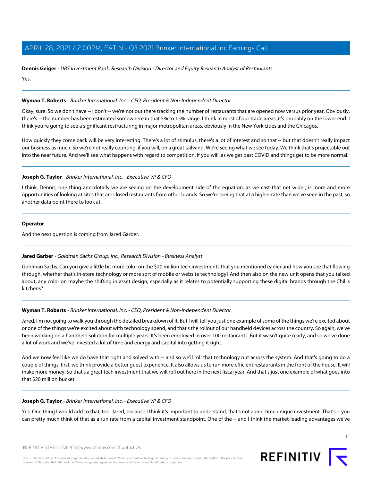## **Dennis Geiger** - UBS Investment Bank, Research Division - Director and Equity Research Analyst of Restaurants

Yes.

#### **Wyman T. Roberts** - Brinker International, Inc. - CEO, President & Non-Independent Director

Okay, sure. So we don't have -- I don't -- we're not out there tracking the number of restaurants that are opened now versus prior year. Obviously, there's -- the number has been estimated somewhere in that 5% to 15% range. I think in most of our trade areas, it's probably on the lower end. I think you're going to see a significant restructuring in major metropolitan areas, obviously in the New York cities and the Chicagos.

How quickly they come back will be very interesting. There's a lot of stimulus, there's a lot of interest and so that -- but that doesn't really impact our business as much. So we're not really counting, if you will, on a great tailwind. We're seeing what we see today. We think that's projectable out into the near future. And we'll see what happens with regard to competition, if you will, as we get past COVID and things get to be more normal.

#### **Joseph G. Taylor** - Brinker International, Inc. - Executive VP & CFO

I think, Dennis, one thing anecdotally we are seeing on the development side of the equation, as we cast that net wider, is more and more opportunities of looking at sites that are closed restaurants from other brands. So we're seeing that at a higher rate than we've seen in the past, so another data point there to look at.

#### **Operator**

<span id="page-10-0"></span>And the next question is coming from Jared Garber.

#### **Jared Garber** - Goldman Sachs Group, Inc., Research Division - Business Analyst

Goldman Sachs. Can you give a little bit more color on the \$20 million tech investments that you mentioned earlier and how you see that flowing through, whether that's in-store technology or more sort of mobile or website technology? And then also on the new unit opens that you talked about, any color on maybe the shifting in asset design, especially as it relates to potentially supporting these digital brands through the Chili's kitchens?

#### **Wyman T. Roberts** - Brinker International, Inc. - CEO, President & Non-Independent Director

Jared, I'm not going to walk you through the detailed breakdown of it. But I will tell you just one example of some of the things we're excited about or one of the things we're excited about with technology spend, and that's the rollout of our handheld devices across the country. So again, we've been working on a handheld solution for multiple years. It's been employed in over 100 restaurants. But it wasn't quite ready, and so we've done a lot of work and we've invested a lot of time and energy and capital into getting it right.

And we now feel like we do have that right and solved with -- and so we'll roll that technology out across the system. And that's going to do a couple of things, first, we think provide a better guest experience. It also allows us to run more efficient restaurants in the front of the house. It will make more money. So that's a great tech investment that we will roll out here in the next fiscal year. And that's just one example of what goes into that \$20 million bucket.

#### **Joseph G. Taylor** - Brinker International, Inc. - Executive VP & CFO

Yes. One thing I would add to that, too, Jared, because I think it's important to understand, that's not a one-time unique investment. That's -- you can pretty much think of that as a run rate from a capital investment standpoint. One of the -- and I think the market-leading advantages we've

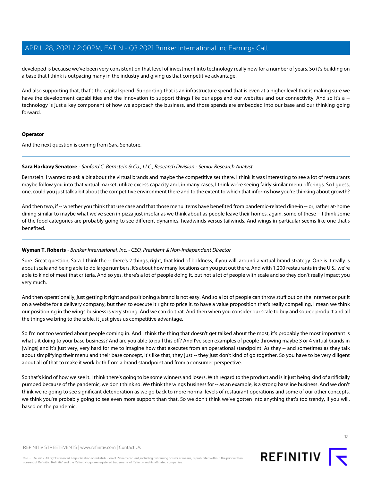developed is because we've been very consistent on that level of investment into technology really now for a number of years. So it's building on a base that I think is outpacing many in the industry and giving us that competitive advantage.

And also supporting that, that's the capital spend. Supporting that is an infrastructure spend that is even at a higher level that is making sure we have the development capabilities and the innovation to support things like our apps and our websites and our connectivity. And so it's a -technology is just a key component of how we approach the business, and those spends are embedded into our base and our thinking going forward.

#### **Operator**

<span id="page-11-0"></span>And the next question is coming from Sara Senatore.

#### **Sara Harkavy Senatore** - Sanford C. Bernstein & Co., LLC., Research Division - Senior Research Analyst

Bernstein. I wanted to ask a bit about the virtual brands and maybe the competitive set there. I think it was interesting to see a lot of restaurants maybe follow you into that virtual market, utilize excess capacity and, in many cases, I think we're seeing fairly similar menu offerings. So I guess, one, could you just talk a bit about the competitive environment there and to the extent to which that informs how you're thinking about growth?

And then two, if -- whether you think that use case and that those menu items have benefited from pandemic-related dine-in -- or, rather at-home dining similar to maybe what we've seen in pizza just insofar as we think about as people leave their homes, again, some of these -- I think some of the food categories are probably going to see different dynamics, headwinds versus tailwinds. And wings in particular seems like one that's benefited.

#### **Wyman T. Roberts** - Brinker International, Inc. - CEO, President & Non-Independent Director

Sure. Great question, Sara. I think the -- there's 2 things, right, that kind of boldness, if you will, around a virtual brand strategy. One is it really is about scale and being able to do large numbers. It's about how many locations can you put out there. And with 1,200 restaurants in the U.S., we're able to kind of meet that criteria. And so yes, there's a lot of people doing it, but not a lot of people with scale and so they don't really impact you very much.

And then operationally, just getting it right and positioning a brand is not easy. And so a lot of people can throw stuff out on the Internet or put it on a website for a delivery company, but then to execute it right to price it, to have a value proposition that's really compelling, I mean we think our positioning in the wings business is very strong. And we can do that. And then when you consider our scale to buy and source product and all the things we bring to the table, it just gives us competitive advantage.

So I'm not too worried about people coming in. And I think the thing that doesn't get talked about the most, it's probably the most important is what's it doing to your base business? And are you able to pull this off? And I've seen examples of people throwing maybe 3 or 4 virtual brands in [wings] and it's just very, very hard for me to imagine how that executes from an operational standpoint. As they -- and sometimes as they talk about simplifying their menu and their base concept, it's like that, they just -- they just don't kind of go together. So you have to be very diligent about all of that to make it work both from a brand standpoint and from a consumer perspective.

So that's kind of how we see it. I think there's going to be some winners and losers. With regard to the product and is it just being kind of artificially pumped because of the pandemic, we don't think so. We think the wings business for -- as an example, is a strong baseline business. And we don't think we're going to see significant deterioration as we go back to more normal levels of restaurant operations and some of our other concepts, we think you're probably going to see even more support than that. So we don't think we've gotten into anything that's too trendy, if you will, based on the pandemic.

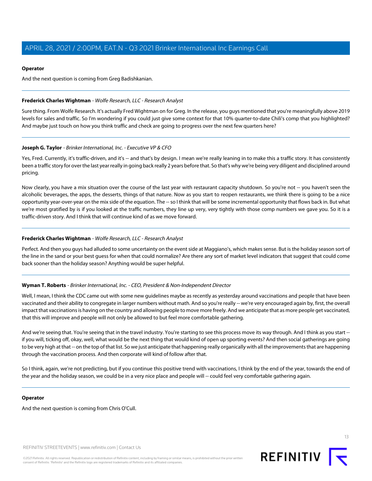#### **Operator**

And the next question is coming from Greg Badishkanian.

#### <span id="page-12-0"></span>**Frederick Charles Wightman** - Wolfe Research, LLC - Research Analyst

Sure thing. From Wolfe Research. It's actually Fred Wightman on for Greg. In the release, you guys mentioned that you're meaningfully above 2019 levels for sales and traffic. So I'm wondering if you could just give some context for that 10% quarter-to-date Chili's comp that you highlighted? And maybe just touch on how you think traffic and check are going to progress over the next few quarters here?

#### **Joseph G. Taylor** - Brinker International, Inc. - Executive VP & CFO

Yes, Fred. Currently, it's traffic-driven, and it's -- and that's by design. I mean we're really leaning in to make this a traffic story. It has consistently been a traffic story for over the last year really in going back really 2 years before that. So that's why we're being very diligent and disciplined around pricing.

Now clearly, you have a mix situation over the course of the last year with restaurant capacity shutdown. So you're not -- you haven't seen the alcoholic beverages, the apps, the desserts, things of that nature. Now as you start to reopen restaurants, we think there is going to be a nice opportunity year-over-year on the mix side of the equation. The -- so I think that will be some incremental opportunity that flows back in. But what we're most gratified by is if you looked at the traffic numbers, they line up very, very tightly with those comp numbers we gave you. So it is a traffic-driven story. And I think that will continue kind of as we move forward.

#### **Frederick Charles Wightman** - Wolfe Research, LLC - Research Analyst

Perfect. And then you guys had alluded to some uncertainty on the event side at Maggiano's, which makes sense. But is the holiday season sort of the line in the sand or your best guess for when that could normalize? Are there any sort of market level indicators that suggest that could come back sooner than the holiday season? Anything would be super helpful.

#### **Wyman T. Roberts** - Brinker International, Inc. - CEO, President & Non-Independent Director

Well, I mean, I think the CDC came out with some new guidelines maybe as recently as yesterday around vaccinations and people that have been vaccinated and their ability to congregate in larger numbers without math. And so you're really -- we're very encouraged again by, first, the overall impact that vaccinations is having on the country and allowing people to move more freely. And we anticipate that as more people get vaccinated, that this will improve and people will not only be allowed to but feel more comfortable gathering.

And we're seeing that. You're seeing that in the travel industry. You're starting to see this process move its way through. And I think as you start -if you will, ticking off, okay, well, what would be the next thing that would kind of open up sporting events? And then social gatherings are going to be very high at that -- on the top of that list. So we just anticipate that happening really organically with all the improvements that are happening through the vaccination process. And then corporate will kind of follow after that.

So I think, again, we're not predicting, but if you continue this positive trend with vaccinations, I think by the end of the year, towards the end of the year and the holiday season, we could be in a very nice place and people will -- could feel very comfortable gathering again.

#### **Operator**

And the next question is coming from Chris O'Cull.

REFINITIV STREETEVENTS | [www.refinitiv.com](https://www.refinitiv.com/) | [Contact Us](https://www.refinitiv.com/en/contact-us)

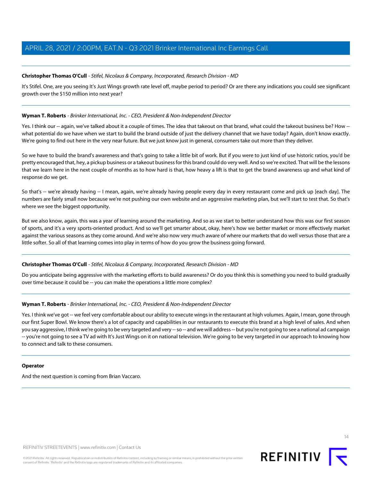#### <span id="page-13-0"></span>**Christopher Thomas O'Cull** - Stifel, Nicolaus & Company, Incorporated, Research Division - MD

It's Stifel. One, are you seeing It's Just Wings growth rate level off, maybe period to period? Or are there any indications you could see significant growth over the \$150 million into next year?

#### **Wyman T. Roberts** - Brinker International, Inc. - CEO, President & Non-Independent Director

Yes. I think our -- again, we've talked about it a couple of times. The idea that takeout on that brand, what could the takeout business be? How -what potential do we have when we start to build the brand outside of just the delivery channel that we have today? Again, don't know exactly. We're going to find out here in the very near future. But we just know just in general, consumers take out more than they deliver.

So we have to build the brand's awareness and that's going to take a little bit of work. But if you were to just kind of use historic ratios, you'd be pretty encouraged that, hey, a pickup business or a takeout business for this brand could do very well. And so we're excited. That will be the lessons that we learn here in the next couple of months as to how hard is that, how heavy a lift is that to get the brand awareness up and what kind of response do we get.

So that's -- we're already having -- I mean, again, we're already having people every day in every restaurant come and pick up [each day]. The numbers are fairly small now because we're not pushing our own website and an aggressive marketing plan, but we'll start to test that. So that's where we see the biggest opportunity.

But we also know, again, this was a year of learning around the marketing. And so as we start to better understand how this was our first season of sports, and it's a very sports-oriented product. And so we'll get smarter about, okay, here's how we better market or more effectively market against the various seasons as they come around. And we're also now very much aware of where our markets that do well versus those that are a little softer. So all of that learning comes into play in terms of how do you grow the business going forward.

#### **Christopher Thomas O'Cull** - Stifel, Nicolaus & Company, Incorporated, Research Division - MD

Do you anticipate being aggressive with the marketing efforts to build awareness? Or do you think this is something you need to build gradually over time because it could be -- you can make the operations a little more complex?

#### **Wyman T. Roberts** - Brinker International, Inc. - CEO, President & Non-Independent Director

Yes. I think we've got -- we feel very comfortable about our ability to execute wings in the restaurant at high volumes. Again, I mean, gone through our first Super Bowl. We know there's a lot of capacity and capabilities in our restaurants to execute this brand at a high level of sales. And when you say aggressive, I think we're going to be very targeted and very -- so -- and we will address -- but you're not going to see a national ad campaign -- you're not going to see a TV ad with It's Just Wings on it on national television. We're going to be very targeted in our approach to knowing how to connect and talk to these consumers.

#### **Operator**

And the next question is coming from Brian Vaccaro.

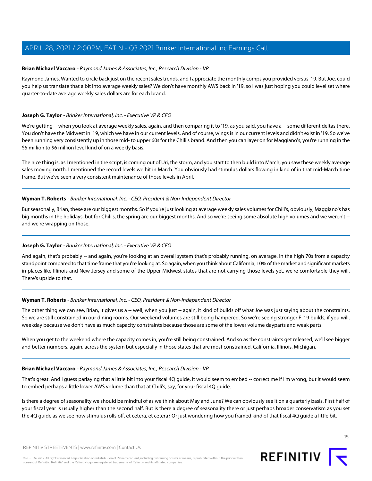#### <span id="page-14-0"></span>**Brian Michael Vaccaro** - Raymond James & Associates, Inc., Research Division - VP

Raymond James. Wanted to circle back just on the recent sales trends, and I appreciate the monthly comps you provided versus '19. But Joe, could you help us translate that a bit into average weekly sales? We don't have monthly AWS back in '19, so I was just hoping you could level set where quarter-to-date average weekly sales dollars are for each brand.

#### **Joseph G. Taylor** - Brinker International, Inc. - Executive VP & CFO

We're getting -- when you look at average weekly sales, again, and then comparing it to '19, as you said, you have a -- some different deltas there. You don't have the Midwest in '19, which we have in our current levels. And of course, wings is in our current levels and didn't exist in '19. So we've been running very consistently up in those mid- to upper 60s for the Chili's brand. And then you can layer on for Maggiano's, you're running in the \$5 million to \$6 million level kind of on a weekly basis.

The nice thing is, as I mentioned in the script, is coming out of Uri, the storm, and you start to then build into March, you saw these weekly average sales moving north. I mentioned the record levels we hit in March. You obviously had stimulus dollars flowing in kind of in that mid-March time frame. But we've seen a very consistent maintenance of those levels in April.

#### **Wyman T. Roberts** - Brinker International, Inc. - CEO, President & Non-Independent Director

But seasonally, Brian, these are our biggest months. So if you're just looking at average weekly sales volumes for Chili's, obviously, Maggiano's has big months in the holidays, but for Chili's, the spring are our biggest months. And so we're seeing some absolute high volumes and we weren't -and we're wrapping on those.

#### **Joseph G. Taylor** - Brinker International, Inc. - Executive VP & CFO

And again, that's probably -- and again, you're looking at an overall system that's probably running, on average, in the high 70s from a capacity standpoint compared to that time frame that you're looking at. So again, when you think about California, 10% of the market and significant markets in places like Illinois and New Jersey and some of the Upper Midwest states that are not carrying those levels yet, we're comfortable they will. There's upside to that.

#### **Wyman T. Roberts** - Brinker International, Inc. - CEO, President & Non-Independent Director

The other thing we can see, Brian, it gives us a -- well, when you just -- again, it kind of builds off what Joe was just saying about the constraints. So we are still constrained in our dining rooms. Our weekend volumes are still being hampered. So we're seeing stronger F '19 builds, if you will, weekday because we don't have as much capacity constraints because those are some of the lower volume dayparts and weak parts.

When you get to the weekend where the capacity comes in, you're still being constrained. And so as the constraints get released, we'll see bigger and better numbers, again, across the system but especially in those states that are most constrained, California, Illinois, Michigan.

#### **Brian Michael Vaccaro** - Raymond James & Associates, Inc., Research Division - VP

That's great. And I guess parlaying that a little bit into your fiscal 4Q guide, it would seem to embed -- correct me if I'm wrong, but it would seem to embed perhaps a little lower AWS volume than that at Chili's, say, for your fiscal 4Q guide.

Is there a degree of seasonality we should be mindful of as we think about May and June? We can obviously see it on a quarterly basis. First half of your fiscal year is usually higher than the second half. But is there a degree of seasonality there or just perhaps broader conservatism as you set the 4Q guide as we see how stimulus rolls off, et cetera, et cetera? Or just wondering how you framed kind of that fiscal 4Q guide a little bit.

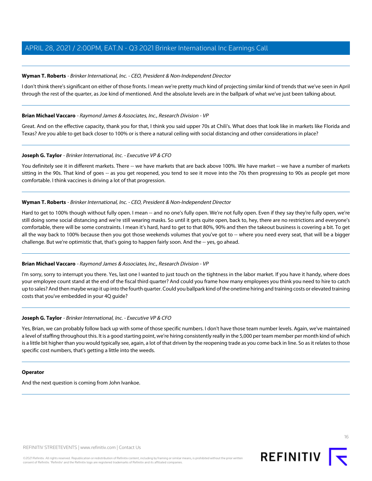#### **Wyman T. Roberts** - Brinker International, Inc. - CEO, President & Non-Independent Director

I don't think there's significant on either of those fronts. I mean we're pretty much kind of projecting similar kind of trends that we've seen in April through the rest of the quarter, as Joe kind of mentioned. And the absolute levels are in the ballpark of what we've just been talking about.

#### **Brian Michael Vaccaro** - Raymond James & Associates, Inc., Research Division - VP

Great. And on the effective capacity, thank you for that, I think you said upper 70s at Chili's. What does that look like in markets like Florida and Texas? Are you able to get back closer to 100% or is there a natural ceiling with social distancing and other considerations in place?

#### **Joseph G. Taylor** - Brinker International, Inc. - Executive VP & CFO

You definitely see it in different markets. There -- we have markets that are back above 100%. We have market -- we have a number of markets sitting in the 90s. That kind of goes -- as you get reopened, you tend to see it move into the 70s then progressing to 90s as people get more comfortable. I think vaccines is driving a lot of that progression.

#### **Wyman T. Roberts** - Brinker International, Inc. - CEO, President & Non-Independent Director

Hard to get to 100% though without fully open. I mean -- and no one's fully open. We're not fully open. Even if they say they're fully open, we're still doing some social distancing and we're still wearing masks. So until it gets quite open, back to, hey, there are no restrictions and everyone's comfortable, there will be some constraints. I mean it's hard, hard to get to that 80%, 90% and then the takeout business is covering a bit. To get all the way back to 100% because then you got those weekends volumes that you've got to -- where you need every seat, that will be a bigger challenge. But we're optimistic that, that's going to happen fairly soon. And the -- yes, go ahead.

#### **Brian Michael Vaccaro** - Raymond James & Associates, Inc., Research Division - VP

I'm sorry, sorry to interrupt you there. Yes, last one I wanted to just touch on the tightness in the labor market. If you have it handy, where does your employee count stand at the end of the fiscal third quarter? And could you frame how many employees you think you need to hire to catch up to sales? And then maybe wrap it up into the fourth quarter. Could you ballpark kind of the onetime hiring and training costs or elevated training costs that you've embedded in your 4Q guide?

#### **Joseph G. Taylor** - Brinker International, Inc. - Executive VP & CFO

Yes, Brian, we can probably follow back up with some of those specific numbers. I don't have those team number levels. Again, we've maintained a level of staffing throughout this. It is a good starting point, we're hiring consistently really in the 5,000 per team member per month kind of which is a little bit higher than you would typically see, again, a lot of that driven by the reopening trade as you come back in line. So as it relates to those specific cost numbers, that's getting a little into the weeds.

#### **Operator**

And the next question is coming from John Ivankoe.

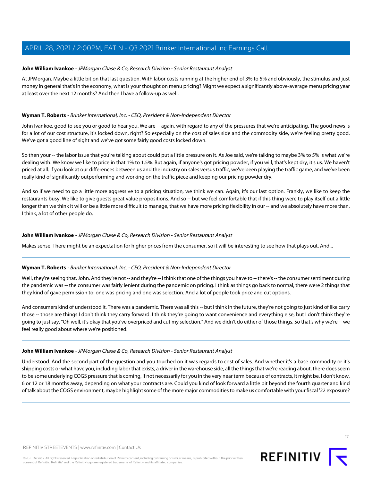#### <span id="page-16-0"></span>**John William Ivankoe** - JPMorgan Chase & Co, Research Division - Senior Restaurant Analyst

At JPMorgan. Maybe a little bit on that last question. With labor costs running at the higher end of 3% to 5% and obviously, the stimulus and just money in general that's in the economy, what is your thought on menu pricing? Might we expect a significantly above-average menu pricing year at least over the next 12 months? And then I have a follow-up as well.

#### **Wyman T. Roberts** - Brinker International, Inc. - CEO, President & Non-Independent Director

John Ivankoe, good to see you or good to hear you. We are -- again, with regard to any of the pressures that we're anticipating. The good news is for a lot of our cost structure, it's locked down, right? So especially on the cost of sales side and the commodity side, we're feeling pretty good. We've got a good line of sight and we've got some fairly good costs locked down.

So then your -- the labor issue that you're talking about could put a little pressure on it. As Joe said, we're talking to maybe 3% to 5% is what we're dealing with. We know we like to price in that 1% to 1.5%. But again, if anyone's got pricing powder, if you will, that's kept dry, it's us. We haven't priced at all. If you look at our differences between us and the industry on sales versus traffic, we've been playing the traffic game, and we've been really kind of significantly outperforming and working on the traffic piece and keeping our pricing powder dry.

And so if we need to go a little more aggressive to a pricing situation, we think we can. Again, it's our last option. Frankly, we like to keep the restaurants busy. We like to give guests great value propositions. And so -- but we feel comfortable that if this thing were to play itself out a little longer than we think it will or be a little more difficult to manage, that we have more pricing flexibility in our -- and we absolutely have more than, I think, a lot of other people do.

#### **John William Ivankoe** - JPMorgan Chase & Co, Research Division - Senior Restaurant Analyst

Makes sense. There might be an expectation for higher prices from the consumer, so it will be interesting to see how that plays out. And...

#### **Wyman T. Roberts** - Brinker International, Inc. - CEO, President & Non-Independent Director

Well, they're seeing that, John. And they're not -- and they're -- I think that one of the things you have to -- there's -- the consumer sentiment during the pandemic was -- the consumer was fairly lenient during the pandemic on pricing. I think as things go back to normal, there were 2 things that they kind of gave permission to: one was pricing and one was selection. And a lot of people took price and cut options.

And consumers kind of understood it. There was a pandemic. There was all this -- but I think in the future, they're not going to just kind of like carry those -- those are things I don't think they carry forward. I think they're going to want convenience and everything else, but I don't think they're going to just say, "Oh well, it's okay that you've overpriced and cut my selection." And we didn't do either of those things. So that's why we're -- we feel really good about where we're positioned.

#### **John William Ivankoe** - JPMorgan Chase & Co, Research Division - Senior Restaurant Analyst

Understood. And the second part of the question and you touched on it was regards to cost of sales. And whether it's a base commodity or it's shipping costs or what have you, including labor that exists, a driver in the warehouse side, all the things that we're reading about, there does seem to be some underlying COGS pressure that is coming, if not necessarily for you in the very near term because of contracts, it might be, I don't know, 6 or 12 or 18 months away, depending on what your contracts are. Could you kind of look forward a little bit beyond the fourth quarter and kind of talk about the COGS environment, maybe highlight some of the more major commodities to make us comfortable with your fiscal '22 exposure?

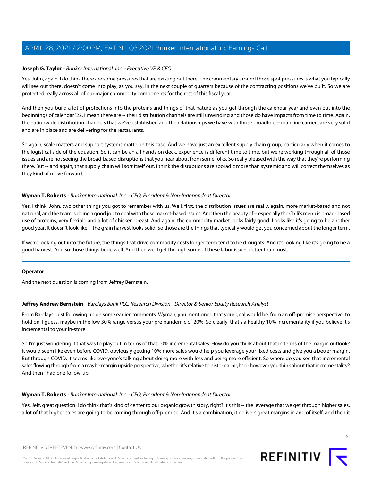#### **Joseph G. Taylor** - Brinker International, Inc. - Executive VP & CFO

Yes, John, again, I do think there are some pressures that are existing out there. The commentary around those spot pressures is what you typically will see out there, doesn't come into play, as you say, in the next couple of quarters because of the contracting positions we've built. So we are protected really across all of our major commodity components for the rest of this fiscal year.

And then you build a lot of protections into the proteins and things of that nature as you get through the calendar year and even out into the beginnings of calendar '22. I mean there are -- their distribution channels are still unwinding and those do have impacts from time to time. Again, the nationwide distribution channels that we've established and the relationships we have with those broadline -- mainline carriers are very solid and are in place and are delivering for the restaurants.

So again, scale matters and support systems matter in this case. And we have just an excellent supply chain group, particularly when it comes to the logistical side of the equation. So it can be an all hands on deck, experience is different time to time, but we're working through all of those issues and are not seeing the broad-based disruptions that you hear about from some folks. So really pleased with the way that they're performing there. But -- and again, that supply chain will sort itself out. I think the disruptions are sporadic more than systemic and will correct themselves as they kind of move forward.

#### **Wyman T. Roberts** - Brinker International, Inc. - CEO, President & Non-Independent Director

Yes. I think, John, two other things you got to remember with us. Well, first, the distribution issues are really, again, more market-based and not national, and the team is doing a good job to deal with those market-based issues. And then the beauty of -- especially the Chili's menu is broad-based use of proteins, very flexible and a lot of chicken breast. And again, the commodity market looks fairly good. Looks like it's going to be another good year. It doesn't look like -- the grain harvest looks solid. So those are the things that typically would get you concerned about the longer term.

If we're looking out into the future, the things that drive commodity costs longer term tend to be droughts. And it's looking like it's going to be a good harvest. And so those things bode well. And then we'll get through some of these labor issues better than most.

#### <span id="page-17-0"></span>**Operator**

And the next question is coming from Jeffrey Bernstein.

#### **Jeffrey Andrew Bernstein** - Barclays Bank PLC, Research Division - Director & Senior Equity Research Analyst

From Barclays. Just following up on some earlier comments. Wyman, you mentioned that your goal would be, from an off-premise perspective, to hold on, I guess, maybe in the low 30% range versus your pre pandemic of 20%. So clearly, that's a healthy 10% incrementality if you believe it's incremental to your in-store.

So I'm just wondering if that was to play out in terms of that 10% incremental sales. How do you think about that in terms of the margin outlook? It would seem like even before COVID, obviously getting 10% more sales would help you leverage your fixed costs and give you a better margin. But through COVID, it seems like everyone's talking about doing more with less and being more efficient. So where do you see that incremental sales flowing through from a maybe margin upside perspective, whether it's relative to historical highs or however you think about that incrementality? And then I had one follow-up.

#### **Wyman T. Roberts** - Brinker International, Inc. - CEO, President & Non-Independent Director

Yes, Jeff, great question. I do think that's kind of center to our organic growth story, right? It's this -- the leverage that we get through higher sales, a lot of that higher sales are going to be coming through off-premise. And it's a combination, it delivers great margins in and of itself, and then it

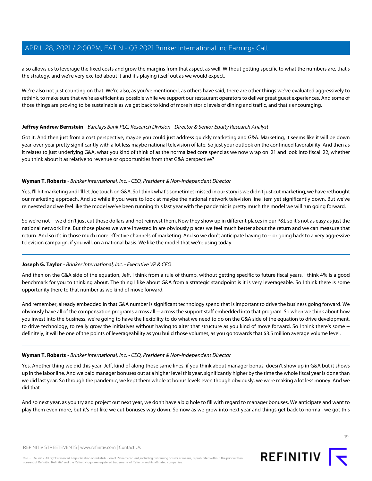also allows us to leverage the fixed costs and grow the margins from that aspect as well. Without getting specific to what the numbers are, that's the strategy, and we're very excited about it and it's playing itself out as we would expect.

We're also not just counting on that. We're also, as you've mentioned, as others have said, there are other things we've evaluated aggressively to rethink, to make sure that we're as efficient as possible while we support our restaurant operators to deliver great guest experiences. And some of those things are proving to be sustainable as we get back to kind of more historic levels of dining and traffic, and that's encouraging.

#### **Jeffrey Andrew Bernstein** - Barclays Bank PLC, Research Division - Director & Senior Equity Research Analyst

Got it. And then just from a cost perspective, maybe you could just address quickly marketing and G&A. Marketing, it seems like it will be down year-over-year pretty significantly with a lot less maybe national television of late. So just your outlook on the continued favorability. And then as it relates to just underlying G&A, what you kind of think of as the normalized core spend as we now wrap on '21 and look into fiscal '22, whether you think about it as relative to revenue or opportunities from that G&A perspective?

#### **Wyman T. Roberts** - Brinker International, Inc. - CEO, President & Non-Independent Director

Yes, I'll hit marketing and I'll let Joe touch on G&A. So I think what's sometimes missed in our story is we didn't just cut marketing, we have rethought our marketing approach. And so while if you were to look at maybe the national network television line item yet significantly down. But we've reinvested and we feel like the model we've been running this last year with the pandemic is pretty much the model we will run going forward.

So we're not -- we didn't just cut those dollars and not reinvest them. Now they show up in different places in our P&L so it's not as easy as just the national network line. But those places we were invested in are obviously places we feel much better about the return and we can measure that return. And so it's in those much more effective channels of marketing. And so we don't anticipate having to -- or going back to a very aggressive television campaign, if you will, on a national basis. We like the model that we're using today.

#### **Joseph G. Taylor** - Brinker International, Inc. - Executive VP & CFO

And then on the G&A side of the equation, Jeff, I think from a rule of thumb, without getting specific to future fiscal years, I think 4% is a good benchmark for you to thinking about. The thing I like about G&A from a strategic standpoint is it is very leverageable. So I think there is some opportunity there to that number as we kind of move forward.

And remember, already embedded in that G&A number is significant technology spend that is important to drive the business going forward. We obviously have all of the compensation programs across all -- across the support staff embedded into that program. So when we think about how you invest into the business, we're going to have the flexibility to do what we need to do on the G&A side of the equation to drive development, to drive technology, to really grow the initiatives without having to alter that structure as you kind of move forward. So I think there's some -definitely, it will be one of the points of leverageability as you build those volumes, as you go towards that \$3.5 million average volume level.

#### **Wyman T. Roberts** - Brinker International, Inc. - CEO, President & Non-Independent Director

Yes. Another thing we did this year, Jeff, kind of along those same lines, if you think about manager bonus, doesn't show up in G&A but it shows up in the labor line. And we paid manager bonuses out at a higher level this year, significantly higher by the time the whole fiscal year is done than we did last year. So through the pandemic, we kept them whole at bonus levels even though obviously, we were making a lot less money. And we did that.

And so next year, as you try and project out next year, we don't have a big hole to fill with regard to manager bonuses. We anticipate and want to play them even more, but it's not like we cut bonuses way down. So now as we grow into next year and things get back to normal, we got this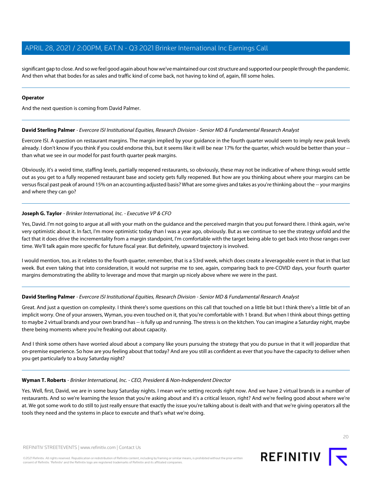significant gap to close. And so we feel good again about how we've maintained our cost structure and supported our people through the pandemic. And then what that bodes for as sales and traffic kind of come back, not having to kind of, again, fill some holes.

#### **Operator**

<span id="page-19-0"></span>And the next question is coming from David Palmer.

#### **David Sterling Palmer** - Evercore ISI Institutional Equities, Research Division - Senior MD & Fundamental Research Analyst

Evercore ISI. A question on restaurant margins. The margin implied by your guidance in the fourth quarter would seem to imply new peak levels already. I don't know if you think if you could endorse this, but it seems like it will be near 17% for the quarter, which would be better than your - than what we see in our model for past fourth quarter peak margins.

Obviously, it's a weird time, staffing levels, partially reopened restaurants, so obviously, these may not be indicative of where things would settle out as you get to a fully reopened restaurant base and society gets fully reopened. But how are you thinking about where your margins can be versus fiscal past peak of around 15% on an accounting adjusted basis? What are some gives and takes as you're thinking about the -- your margins and where they can go?

#### **Joseph G. Taylor** - Brinker International, Inc. - Executive VP & CFO

Yes, David. I'm not going to argue at all with your math on the guidance and the perceived margin that you put forward there. I think again, we're very optimistic about it. In fact, I'm more optimistic today than I was a year ago, obviously. But as we continue to see the strategy unfold and the fact that it does drive the incrementality from a margin standpoint, I'm comfortable with the target being able to get back into those ranges over time. We'll talk again more specific for future fiscal year. But definitely, upward trajectory is involved.

I would mention, too, as it relates to the fourth quarter, remember, that is a 53rd week, which does create a leverageable event in that in that last week. But even taking that into consideration, it would not surprise me to see, again, comparing back to pre-COVID days, your fourth quarter margins demonstrating the ability to leverage and move that margin up nicely above where we were in the past.

#### **David Sterling Palmer** - Evercore ISI Institutional Equities, Research Division - Senior MD & Fundamental Research Analyst

Great. And just a question on complexity. I think there's some questions on this call that touched on a little bit but I think there's a little bit of an implicit worry. One of your answers, Wyman, you even touched on it, that you're comfortable with 1 brand. But when I think about things getting to maybe 2 virtual brands and your own brand has -- is fully up and running. The stress is on the kitchen. You can imagine a Saturday night, maybe there being moments where you're freaking out about capacity.

And I think some others have worried aloud about a company like yours pursuing the strategy that you do pursue in that it will jeopardize that on-premise experience. So how are you feeling about that today? And are you still as confident as ever that you have the capacity to deliver when you get particularly to a busy Saturday night?

#### **Wyman T. Roberts** - Brinker International, Inc. - CEO, President & Non-Independent Director

Yes. Well, first, David, we are in some busy Saturday nights. I mean we're setting records right now. And we have 2 virtual brands in a number of restaurants. And so we're learning the lesson that you're asking about and it's a critical lesson, right? And we're feeling good about where we're at. We got some work to do still to just really ensure that exactly the issue you're talking about is dealt with and that we're giving operators all the tools they need and the systems in place to execute and that's what we're doing.



**REFINITIV** |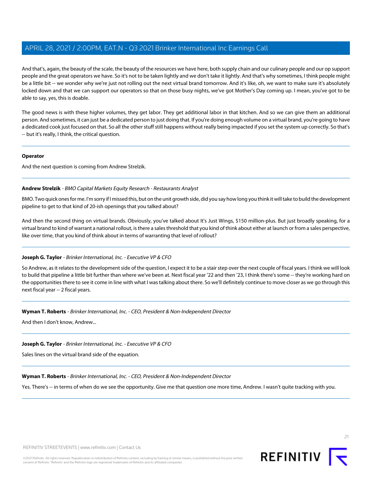And that's, again, the beauty of the scale, the beauty of the resources we have here, both supply chain and our culinary people and our op support people and the great operators we have. So it's not to be taken lightly and we don't take it lightly. And that's why sometimes, I think people might be a little bit -- we wonder why we're just not rolling out the next virtual brand tomorrow. And it's like, oh, we want to make sure it's absolutely locked down and that we can support our operators so that on those busy nights, we've got Mother's Day coming up. I mean, you've got to be able to say, yes, this is doable.

The good news is with these higher volumes, they get labor. They get additional labor in that kitchen. And so we can give them an additional person. And sometimes, it can just be a dedicated person to just doing that. If you're doing enough volume on a virtual brand, you're going to have a dedicated cook just focused on that. So all the other stuff still happens without really being impacted if you set the system up correctly. So that's -- but it's really, I think, the critical question.

#### **Operator**

<span id="page-20-0"></span>And the next question is coming from Andrew Strelzik.

#### **Andrew Strelzik** - BMO Capital Markets Equity Research - Restaurants Analyst

BMO. Two quick ones for me. I'm sorry if I missed this, but on the unit growth side, did you say how long you think it will take to build the development pipeline to get to that kind of 20-ish openings that you talked about?

And then the second thing on virtual brands. Obviously, you've talked about It's Just Wings, \$150 million-plus. But just broadly speaking, for a virtual brand to kind of warrant a national rollout, is there a sales threshold that you kind of think about either at launch or from a sales perspective, like over time, that you kind of think about in terms of warranting that level of rollout?

#### **Joseph G. Taylor** - Brinker International, Inc. - Executive VP & CFO

So Andrew, as it relates to the development side of the question, I expect it to be a stair step over the next couple of fiscal years. I think we will look to build that pipeline a little bit further than where we've been at. Next fiscal year '22 and then '23, I think there's some -- they're working hard on the opportunities there to see it come in line with what I was talking about there. So we'll definitely continue to move closer as we go through this next fiscal year -- 2 fiscal years.

#### **Wyman T. Roberts** - Brinker International, Inc. - CEO, President & Non-Independent Director

And then I don't know, Andrew...

#### **Joseph G. Taylor** - Brinker International, Inc. - Executive VP & CFO

Sales lines on the virtual brand side of the equation.

#### **Wyman T. Roberts** - Brinker International, Inc. - CEO, President & Non-Independent Director

Yes. There's -- in terms of when do we see the opportunity. Give me that question one more time, Andrew. I wasn't quite tracking with you.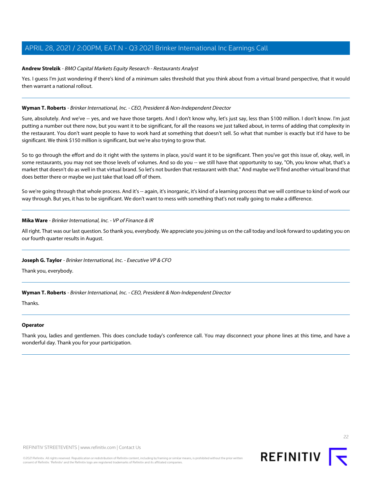#### **Andrew Strelzik** - BMO Capital Markets Equity Research - Restaurants Analyst

Yes. I guess I'm just wondering if there's kind of a minimum sales threshold that you think about from a virtual brand perspective, that it would then warrant a national rollout.

#### **Wyman T. Roberts** - Brinker International, Inc. - CEO, President & Non-Independent Director

Sure, absolutely. And we've -- yes, and we have those targets. And I don't know why, let's just say, less than \$100 million. I don't know. I'm just putting a number out there now, but you want it to be significant, for all the reasons we just talked about, in terms of adding that complexity in the restaurant. You don't want people to have to work hard at something that doesn't sell. So what that number is exactly but it'd have to be significant. We think \$150 million is significant, but we're also trying to grow that.

So to go through the effort and do it right with the systems in place, you'd want it to be significant. Then you've got this issue of, okay, well, in some restaurants, you may not see those levels of volumes. And so do you -- we still have that opportunity to say, "Oh, you know what, that's a market that doesn't do as well in that virtual brand. So let's not burden that restaurant with that." And maybe we'll find another virtual brand that does better there or maybe we just take that load off of them.

So we're going through that whole process. And it's -- again, it's inorganic, it's kind of a learning process that we will continue to kind of work our way through. But yes, it has to be significant. We don't want to mess with something that's not really going to make a difference.

#### **Mika Ware** - Brinker International, Inc. - VP of Finance & IR

All right. That was our last question. So thank you, everybody. We appreciate you joining us on the call today and look forward to updating you on our fourth quarter results in August.

#### **Joseph G. Taylor** - Brinker International, Inc. - Executive VP & CFO

Thank you, everybody.

#### **Wyman T. Roberts** - Brinker International, Inc. - CEO, President & Non-Independent Director

Thanks.

#### **Operator**

Thank you, ladies and gentlemen. This does conclude today's conference call. You may disconnect your phone lines at this time, and have a wonderful day. Thank you for your participation.